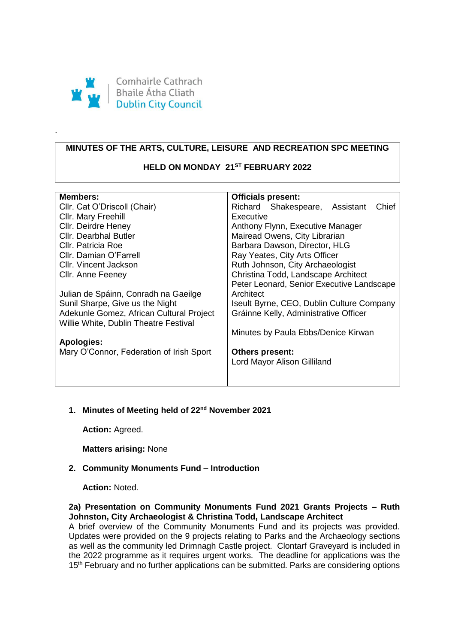

.

# **MINUTES OF THE ARTS, CULTURE, LEISURE AND RECREATION SPC MEETING**

# **HELD ON MONDAY 21ST FEBRUARY 2022**

| <b>Members:</b>                          | <b>Officials present:</b>                 |
|------------------------------------------|-------------------------------------------|
| Cllr. Cat O'Driscoll (Chair)             | Richard Shakespeare, Assistant<br>Chief   |
| Cllr. Mary Freehill                      | Executive                                 |
| Cllr. Deirdre Heney                      | Anthony Flynn, Executive Manager          |
| <b>Cllr. Dearbhal Butler</b>             | Mairead Owens, City Librarian             |
| Cllr. Patricia Roe                       | Barbara Dawson, Director, HLG             |
| Cllr. Damian O'Farrell                   | Ray Yeates, City Arts Officer             |
| Cllr. Vincent Jackson                    | Ruth Johnson, City Archaeologist          |
| Cllr. Anne Feeney                        | Christina Todd, Landscape Architect       |
|                                          | Peter Leonard, Senior Executive Landscape |
| Julian de Spáinn, Conradh na Gaeilge     | Architect                                 |
| Sunil Sharpe, Give us the Night          | Iseult Byrne, CEO, Dublin Culture Company |
| Adekunle Gomez, African Cultural Project | Gráinne Kelly, Administrative Officer     |
| Willie White, Dublin Theatre Festival    |                                           |
|                                          | Minutes by Paula Ebbs/Denice Kirwan       |
| <b>Apologies:</b>                        |                                           |
| Mary O'Connor, Federation of Irish Sport | <b>Others present:</b>                    |
|                                          | Lord Mayor Alison Gilliland               |
|                                          |                                           |
|                                          |                                           |

# **1. Minutes of Meeting held of 22nd November 2021**

**Action:** Agreed.

**Matters arising:** None

### **2. Community Monuments Fund – Introduction**

**Action:** Noted.

## **2a) Presentation on Community Monuments Fund 2021 Grants Projects – Ruth Johnston, City Archaeologist & Christina Todd, Landscape Architect**

A brief overview of the Community Monuments Fund and its projects was provided. Updates were provided on the 9 projects relating to Parks and the Archaeology sections as well as the community led Drimnagh Castle project. Clontarf Graveyard is included in the 2022 programme as it requires urgent works. The deadline for applications was the 15<sup>th</sup> February and no further applications can be submitted. Parks are considering options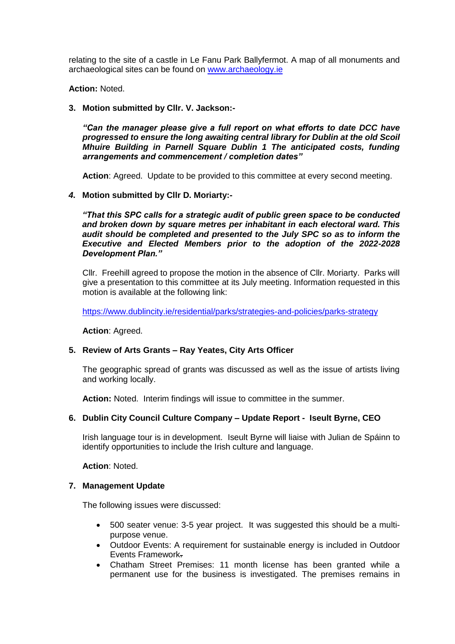relating to the site of a castle in Le Fanu Park Ballyfermot. A map of all monuments and archaeological sites can be found on [www.archaeology.ie](http://www.archaeology.ie/)

**Action:** Noted.

## **3. Motion submitted by Cllr. V. Jackson:-**

*"Can the manager please give a full report on what efforts to date DCC have progressed to ensure the long awaiting central library for Dublin at the old Scoil Mhuire Building in Parnell Square Dublin 1 The anticipated costs, funding arrangements and commencement / completion dates"* 

**Action**: Agreed. Update to be provided to this committee at every second meeting.

## *4.* **Motion submitted by Cllr D. Moriarty:-**

*"That this SPC calls for a strategic audit of public green space to be conducted and broken down by square metres per inhabitant in each electoral ward. This audit should be completed and presented to the July SPC so as to inform the Executive and Elected Members prior to the adoption of the 2022-2028 Development Plan."*

Cllr. Freehill agreed to propose the motion in the absence of Cllr. Moriarty. Parks will give a presentation to this committee at its July meeting. Information requested in this motion is available at the following link:

<https://www.dublincity.ie/residential/parks/strategies-and-policies/parks-strategy>

**Action**: Agreed.

### **5. Review of Arts Grants – Ray Yeates, City Arts Officer**

The geographic spread of grants was discussed as well as the issue of artists living and working locally.

**Action:** Noted. Interim findings will issue to committee in the summer.

### **6. Dublin City Council Culture Company – Update Report - Iseult Byrne, CEO**

Irish language tour is in development. Iseult Byrne will liaise with Julian de Spáinn to identify opportunities to include the Irish culture and language.

**Action**: Noted.

### **7. Management Update**

The following issues were discussed:

- 500 seater venue: 3-5 year project. It was suggested this should be a multipurpose venue.
- Outdoor Events: A requirement for sustainable energy is included in Outdoor Events Framework.
- Chatham Street Premises: 11 month license has been granted while a permanent use for the business is investigated. The premises remains in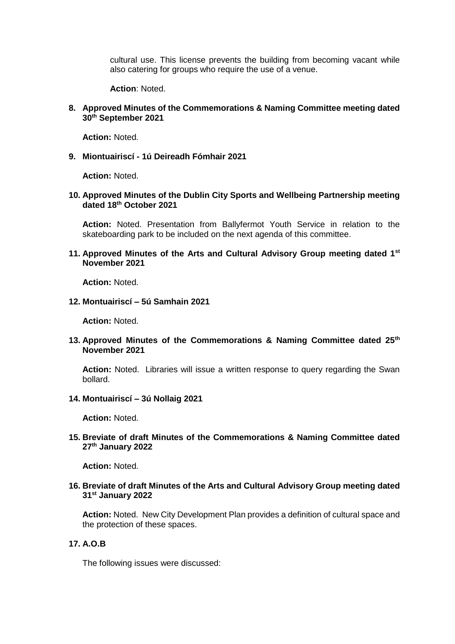cultural use. This license prevents the building from becoming vacant while also catering for groups who require the use of a venue.

**Action**: Noted.

### **8. Approved Minutes of the Commemorations & Naming Committee meeting dated 30th September 2021**

**Action:** Noted.

**9. Miontuairiscí - 1ú Deireadh Fómhair 2021**

**Action:** Noted.

**10. Approved Minutes of the Dublin City Sports and Wellbeing Partnership meeting dated 18th October 2021**

**Action:** Noted. Presentation from Ballyfermot Youth Service in relation to the skateboarding park to be included on the next agenda of this committee.

**11. Approved Minutes of the Arts and Cultural Advisory Group meeting dated 1st November 2021** 

**Action:** Noted.

**12. Montuairiscí – 5ú Samhain 2021**

**Action:** Noted.

**13. Approved Minutes of the Commemorations & Naming Committee dated 25th November 2021** 

**Action:** Noted. Libraries will issue a written response to query regarding the Swan bollard.

**14. Montuairiscí – 3ú Nollaig 2021**

**Action:** Noted.

**15. Breviate of draft Minutes of the Commemorations & Naming Committee dated 27th January 2022**

**Action:** Noted.

**16. Breviate of draft Minutes of the Arts and Cultural Advisory Group meeting dated 31st January 2022**

**Action:** Noted. New City Development Plan provides a definition of cultural space and the protection of these spaces.

## **17. A.O.B**

The following issues were discussed: